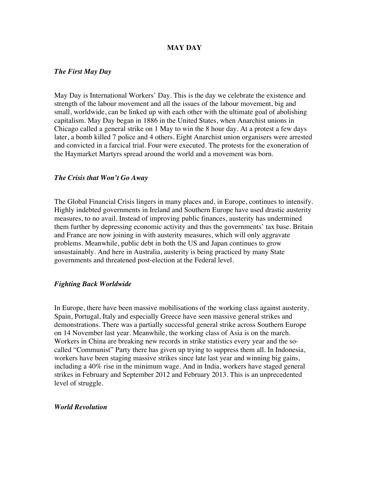## **MAY DAY**

### *The First May Day*

May Day is International Workers' Day. This is the day we celebrate the existence and strength of the labour movement and all the issues of the labour movement, big and small, worldwide, can be linked up with each other with the ultimate goal of abolishing capitalism. May Day began in 1886 in the United States, when Anarchist unions in Chicago called a general strike on 1 May to win the 8 hour day. At a protest a few days later, a bomb killed 7 police and 4 others. Eight Anarchist union organisers were arrested and convicted in a farcical trial. Four were executed. The protests for the exoneration of the Haymarket Martyrs spread around the world and a movement was born.

#### *The Crisis that Won't Go Away*

The Global Financial Crisis lingers in many places and, in Europe, continues to intensify. Highly indebted governments in Ireland and Southern Europe have used drastic austerity measures, to no avail. Instead of improving public finances, austerity has undermined them further by depressing economic activity and thus the governments' tax base. Britain and France are now joining in with austerity measures, which will only aggravate problems. Meanwhile, public debt in both the US and Japan continues to grow unsustainably. And here in Australia, austerity is being practiced by many State governments and threatened post-election at the Federal level.

#### *Fighting Back Worldwide*

In Europe, there have been massive mobilisations of the working class against austerity. Spain, Portugal, Italy and especially Greece have seen massive general strikes and demonstrations. There was a partially successful general strike across Southern Europe on 14 November last year. Meanwhile, the working class of Asia is on the march. Workers in China are breaking new records in strike statistics every year and the socalled "Communist" Party there has given up trying to suppress them all. In Indonesia, workers have been staging massive strikes since late last year and winning big gains, including a 40% rise in the minimum wage. And in India, workers have staged general strikes in February and September 2012 and February 2013. This is an unprecedented level of struggle.

#### *World Revolution*